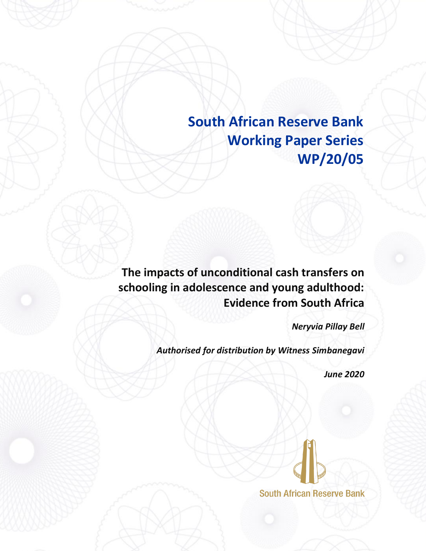**South African Reserve Bank Working Paper Series WP/20/05**

**The impacts of unconditional cash transfers on schooling in adolescence and young adulthood: Evidence from South Africa**

*Neryvia Pillay Bell*

*Authorised for distribution by Witness Simbanegavi*

*June 2020*

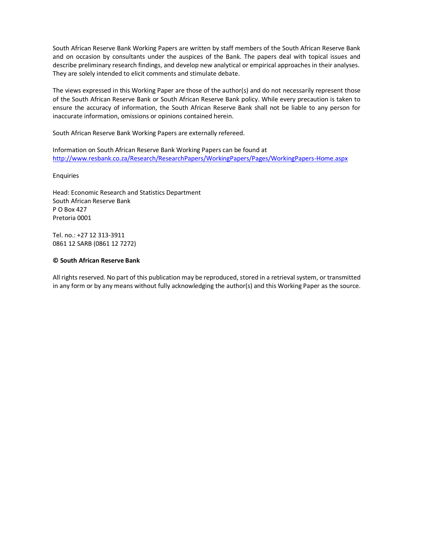South African Reserve Bank Working Papers are written by staff members of the South African Reserve Bank and on occasion by consultants under the auspices of the Bank. The papers deal with topical issues and describe preliminary research findings, and develop new analytical or empirical approaches in their analyses. They are solely intended to elicit comments and stimulate debate.

The views expressed in this Working Paper are those of the author(s) and do not necessarily represent those of the South African Reserve Bank or South African Reserve Bank policy. While every precaution is taken to ensure the accuracy of information, the South African Reserve Bank shall not be liable to any person for inaccurate information, omissions or opinions contained herein.

South African Reserve Bank Working Papers are externally refereed.

Information on South African Reserve Bank Working Papers can be found at <http://www.resbank.co.za/Research/ResearchPapers/WorkingPapers/Pages/WorkingPapers-Home.aspx>

Enquiries

Head: Economic Research and Statistics Department South African Reserve Bank P O Box 427 Pretoria 0001

Tel. no.: +27 12 313-3911 0861 12 SARB (0861 12 7272)

#### **© South African Reserve Bank**

All rights reserved. No part of this publication may be reproduced, stored in a retrieval system, or transmitted in any form or by any means without fully acknowledging the author(s) and this Working Paper as the source.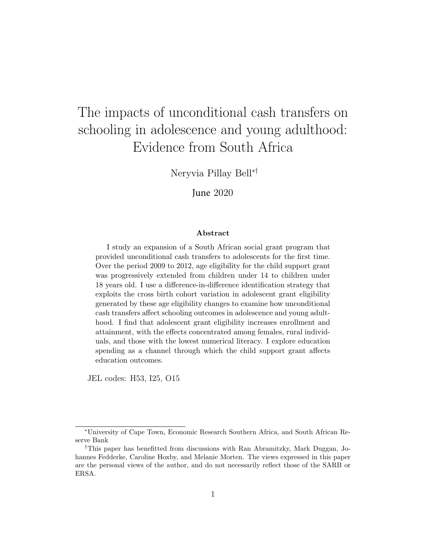# The impacts of unconditional cash transfers on schooling in adolescence and young adulthood: Evidence from South Africa

Neryvia Pillay Bell∗†

June 2020

#### Abstract

I study an expansion of a South African social grant program that provided unconditional cash transfers to adolescents for the first time. Over the period 2009 to 2012, age eligibility for the child support grant was progressively extended from children under 14 to children under 18 years old. I use a difference-in-difference identification strategy that exploits the cross birth cohort variation in adolescent grant eligibility generated by these age eligibility changes to examine how unconditional cash transfers affect schooling outcomes in adolescence and young adulthood. I find that adolescent grant eligibility increases enrollment and attainment, with the effects concentrated among females, rural individuals, and those with the lowest numerical literacy. I explore education spending as a channel through which the child support grant affects education outcomes.

JEL codes: H53, I25, O15

<sup>∗</sup>University of Cape Town, Economic Research Southern Africa, and South African Reserve Bank

<sup>†</sup>This paper has benefitted from discussions with Ran Abramitzky, Mark Duggan, Johannes Fedderke, Caroline Hoxby, and Melanie Morten. The views expressed in this paper are the personal views of the author, and do not necessarily reflect those of the SARB or ERSA.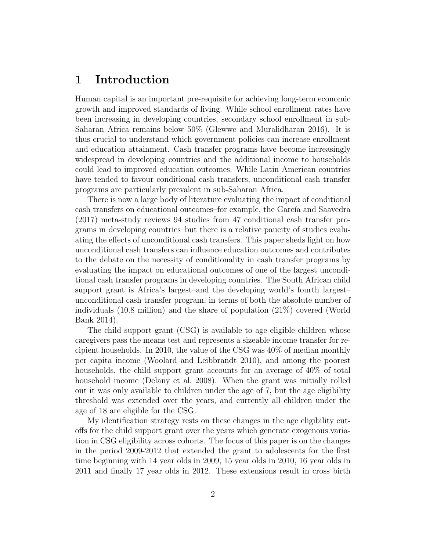# 1 Introduction

Human capital is an important pre-requisite for achieving long-term economic growth and improved standards of living. While school enrollment rates have been increasing in developing countries, secondary school enrollment in sub-Saharan Africa remains below 50% (Glewwe and Muralidharan 2016). It is thus crucial to understand which government policies can increase enrollment and education attainment. Cash transfer programs have become increasingly widespread in developing countries and the additional income to households could lead to improved education outcomes. While Latin American countries have tended to favour conditional cash transfers, unconditional cash transfer programs are particularly prevalent in sub-Saharan Africa.

There is now a large body of literature evaluating the impact of conditional cash transfers on educational outcomes–for example, the García and Saavedra (2017) meta-study reviews 94 studies from 47 conditional cash transfer programs in developing countries–but there is a relative paucity of studies evaluating the effects of unconditional cash transfers. This paper sheds light on how unconditional cash transfers can influence education outcomes and contributes to the debate on the necessity of conditionality in cash transfer programs by evaluating the impact on educational outcomes of one of the largest unconditional cash transfer programs in developing countries. The South African child support grant is Africa's largest–and the developing world's fourth largest– unconditional cash transfer program, in terms of both the absolute number of individuals (10.8 million) and the share of population (21%) covered (World Bank 2014).

The child support grant (CSG) is available to age eligible children whose caregivers pass the means test and represents a sizeable income transfer for recipient households. In 2010, the value of the CSG was 40% of median monthly per capita income (Woolard and Leibbrandt 2010), and among the poorest households, the child support grant accounts for an average of 40% of total household income (Delany et al. 2008). When the grant was initially rolled out it was only available to children under the age of 7, but the age eligibility threshold was extended over the years, and currently all children under the age of 18 are eligible for the CSG.

My identification strategy rests on these changes in the age eligibility cutoffs for the child support grant over the years which generate exogenous variation in CSG eligibility across cohorts. The focus of this paper is on the changes in the period 2009-2012 that extended the grant to adolescents for the first time beginning with 14 year olds in 2009, 15 year olds in 2010, 16 year olds in 2011 and finally 17 year olds in 2012. These extensions result in cross birth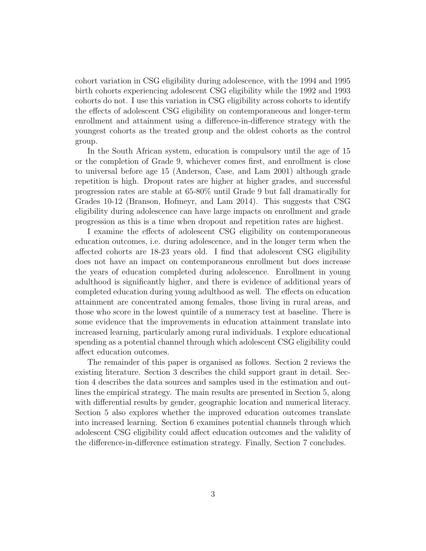cohort variation in CSG eligibility during adolescence, with the 1994 and 1995 birth cohorts experiencing adolescent CSG eligibility while the 1992 and 1993 cohorts do not. I use this variation in CSG eligibility across cohorts to identify the effects of adolescent CSG eligibility on contemporaneous and longer-term enrollment and attainment using a difference-in-difference strategy with the youngest cohorts as the treated group and the oldest cohorts as the control group.

In the South African system, education is compulsory until the age of 15 or the completion of Grade 9, whichever comes first, and enrollment is close to universal before age 15 (Anderson, Case, and Lam 2001) although grade repetition is high. Dropout rates are higher at higher grades, and successful progression rates are stable at 65-80% until Grade 9 but fall dramatically for Grades 10-12 (Branson, Hofmeyr, and Lam 2014). This suggests that CSG eligibility during adolescence can have large impacts on enrollment and grade progression as this is a time when dropout and repetition rates are highest.

I examine the effects of adolescent CSG eligibility on contemporaneous education outcomes, i.e. during adolescence, and in the longer term when the affected cohorts are 18-23 years old. I find that adolescent CSG eligibility does not have an impact on contemporaneous enrollment but does increase the years of education completed during adolescence. Enrollment in young adulthood is significantly higher, and there is evidence of additional years of completed education during young adulthood as well. The effects on education attainment are concentrated among females, those living in rural areas, and those who score in the lowest quintile of a numeracy test at baseline. There is some evidence that the improvements in education attainment translate into increased learning, particularly among rural individuals. I explore educational spending as a potential channel through which adolescent CSG eligibility could affect education outcomes.

The remainder of this paper is organised as follows. Section 2 reviews the existing literature. Section 3 describes the child support grant in detail. Section 4 describes the data sources and samples used in the estimation and outlines the empirical strategy. The main results are presented in Section 5, along with differential results by gender, geographic location and numerical literacy. Section 5 also explores whether the improved education outcomes translate into increased learning. Section 6 examines potential channels through which adolescent CSG eligibility could affect education outcomes and the validity of the difference-in-difference estimation strategy. Finally, Section 7 concludes.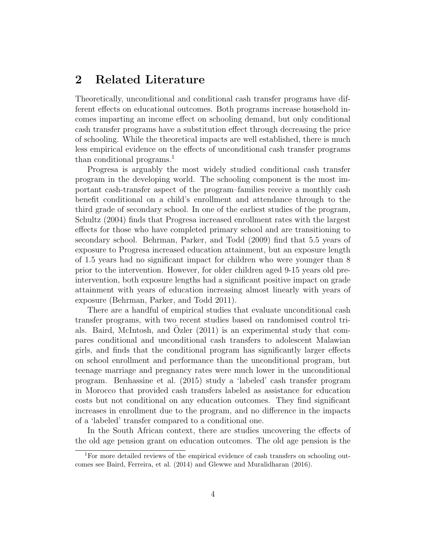### 2 Related Literature

Theoretically, unconditional and conditional cash transfer programs have different effects on educational outcomes. Both programs increase household incomes imparting an income effect on schooling demand, but only conditional cash transfer programs have a substitution effect through decreasing the price of schooling. While the theoretical impacts are well established, there is much less empirical evidence on the effects of unconditional cash transfer programs than conditional programs.<sup>1</sup>

Progresa is arguably the most widely studied conditional cash transfer program in the developing world. The schooling component is the most important cash-transfer aspect of the program–families receive a monthly cash benefit conditional on a child's enrollment and attendance through to the third grade of secondary school. In one of the earliest studies of the program, Schultz (2004) finds that Progresa increased enrollment rates with the largest effects for those who have completed primary school and are transitioning to secondary school. Behrman, Parker, and Todd (2009) find that 5.5 years of exposure to Progresa increased education attainment, but an exposure length of 1.5 years had no significant impact for children who were younger than 8 prior to the intervention. However, for older children aged 9-15 years old preintervention, both exposure lengths had a significant positive impact on grade attainment with years of education increasing almost linearly with years of exposure (Behrman, Parker, and Todd 2011).

There are a handful of empirical studies that evaluate unconditional cash transfer programs, with two recent studies based on randomised control trials. Baird, McIntosh, and Ozler  $(2011)$  is an experimental study that compares conditional and unconditional cash transfers to adolescent Malawian girls, and finds that the conditional program has significantly larger effects on school enrollment and performance than the unconditional program, but teenage marriage and pregnancy rates were much lower in the unconditional program. Benhassine et al. (2015) study a 'labeled' cash transfer program in Morocco that provided cash transfers labeled as assistance for education costs but not conditional on any education outcomes. They find significant increases in enrollment due to the program, and no difference in the impacts of a 'labeled' transfer compared to a conditional one.

In the South African context, there are studies uncovering the effects of the old age pension grant on education outcomes. The old age pension is the

<sup>&</sup>lt;sup>1</sup>For more detailed reviews of the empirical evidence of cash transfers on schooling outcomes see Baird, Ferreira, et al. (2014) and Glewwe and Muralidharan (2016).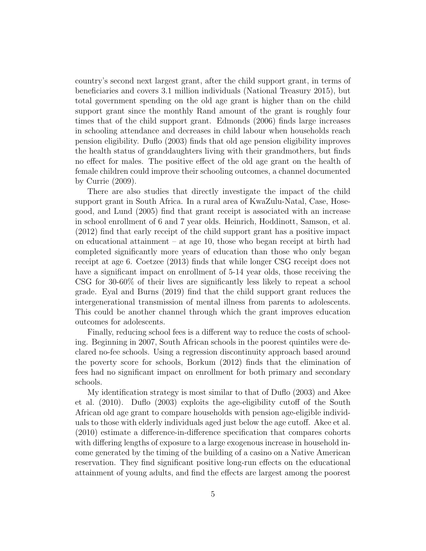country's second next largest grant, after the child support grant, in terms of beneficiaries and covers 3.1 million individuals (National Treasury 2015), but total government spending on the old age grant is higher than on the child support grant since the monthly Rand amount of the grant is roughly four times that of the child support grant. Edmonds (2006) finds large increases in schooling attendance and decreases in child labour when households reach pension eligibility. Duflo (2003) finds that old age pension eligibility improves the health status of granddaughters living with their grandmothers, but finds no effect for males. The positive effect of the old age grant on the health of female children could improve their schooling outcomes, a channel documented by Currie (2009).

There are also studies that directly investigate the impact of the child support grant in South Africa. In a rural area of KwaZulu-Natal, Case, Hosegood, and Lund (2005) find that grant receipt is associated with an increase in school enrollment of 6 and 7 year olds. Heinrich, Hoddinott, Samson, et al. (2012) find that early receipt of the child support grant has a positive impact on educational attainment – at age 10, those who began receipt at birth had completed significantly more years of education than those who only began receipt at age 6. Coetzee (2013) finds that while longer CSG receipt does not have a significant impact on enrollment of 5-14 year olds, those receiving the CSG for 30-60% of their lives are significantly less likely to repeat a school grade. Eyal and Burns (2019) find that the child support grant reduces the intergenerational transmission of mental illness from parents to adolescents. This could be another channel through which the grant improves education outcomes for adolescents.

Finally, reducing school fees is a different way to reduce the costs of schooling. Beginning in 2007, South African schools in the poorest quintiles were declared no-fee schools. Using a regression discontinuity approach based around the poverty score for schools, Borkum (2012) finds that the elimination of fees had no significant impact on enrollment for both primary and secondary schools.

My identification strategy is most similar to that of Duflo (2003) and Akee et al. (2010). Duflo (2003) exploits the age-eligibility cutoff of the South African old age grant to compare households with pension age-eligible individuals to those with elderly individuals aged just below the age cutoff. Akee et al. (2010) estimate a difference-in-difference specification that compares cohorts with differing lengths of exposure to a large exogenous increase in household income generated by the timing of the building of a casino on a Native American reservation. They find significant positive long-run effects on the educational attainment of young adults, and find the effects are largest among the poorest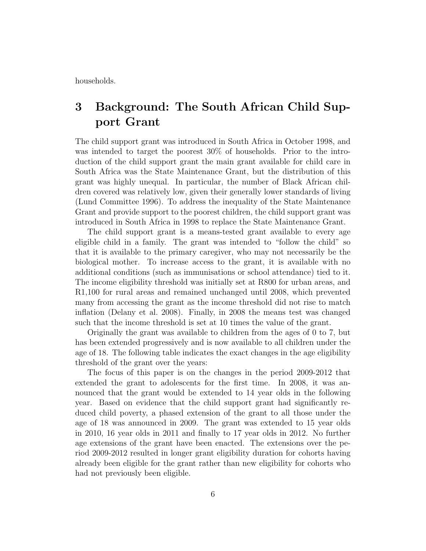households.

# 3 Background: The South African Child Support Grant

The child support grant was introduced in South Africa in October 1998, and was intended to target the poorest 30% of households. Prior to the introduction of the child support grant the main grant available for child care in South Africa was the State Maintenance Grant, but the distribution of this grant was highly unequal. In particular, the number of Black African children covered was relatively low, given their generally lower standards of living (Lund Committee 1996). To address the inequality of the State Maintenance Grant and provide support to the poorest children, the child support grant was introduced in South Africa in 1998 to replace the State Maintenance Grant.

The child support grant is a means-tested grant available to every age eligible child in a family. The grant was intended to "follow the child" so that it is available to the primary caregiver, who may not necessarily be the biological mother. To increase access to the grant, it is available with no additional conditions (such as immunisations or school attendance) tied to it. The income eligibility threshold was initially set at R800 for urban areas, and R1,100 for rural areas and remained unchanged until 2008, which prevented many from accessing the grant as the income threshold did not rise to match inflation (Delany et al. 2008). Finally, in 2008 the means test was changed such that the income threshold is set at 10 times the value of the grant.

Originally the grant was available to children from the ages of 0 to 7, but has been extended progressively and is now available to all children under the age of 18. The following table indicates the exact changes in the age eligibility threshold of the grant over the years:

The focus of this paper is on the changes in the period 2009-2012 that extended the grant to adolescents for the first time. In 2008, it was announced that the grant would be extended to 14 year olds in the following year. Based on evidence that the child support grant had significantly reduced child poverty, a phased extension of the grant to all those under the age of 18 was announced in 2009. The grant was extended to 15 year olds in 2010, 16 year olds in 2011 and finally to 17 year olds in 2012. No further age extensions of the grant have been enacted. The extensions over the period 2009-2012 resulted in longer grant eligibility duration for cohorts having already been eligible for the grant rather than new eligibility for cohorts who had not previously been eligible.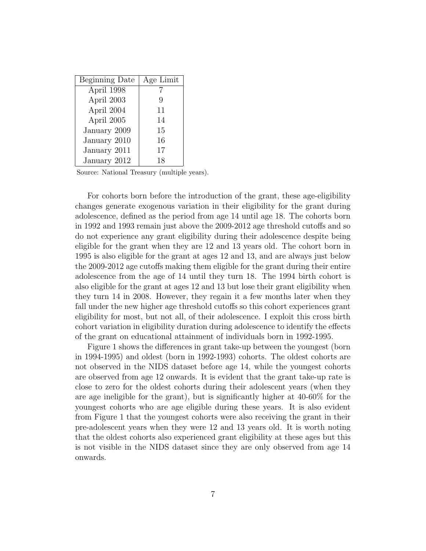| Beginning Date | Age Limit |
|----------------|-----------|
| April 1998     |           |
| April 2003     | Q         |
| April 2004     | 11        |
| April 2005     | 14        |
| January 2009   | 15        |
| January 2010   | 16        |
| January 2011   | 17        |
| January 2012   | 18        |

Source: National Treasury (multiple years).

For cohorts born before the introduction of the grant, these age-eligibility changes generate exogenous variation in their eligibility for the grant during adolescence, defined as the period from age 14 until age 18. The cohorts born in 1992 and 1993 remain just above the 2009-2012 age threshold cutoffs and so do not experience any grant eligibility during their adolescence despite being eligible for the grant when they are 12 and 13 years old. The cohort born in 1995 is also eligible for the grant at ages 12 and 13, and are always just below the 2009-2012 age cutoffs making them eligible for the grant during their entire adolescence from the age of 14 until they turn 18. The 1994 birth cohort is also eligible for the grant at ages 12 and 13 but lose their grant eligibility when they turn 14 in 2008. However, they regain it a few months later when they fall under the new higher age threshold cutoffs so this cohort experiences grant eligibility for most, but not all, of their adolescence. I exploit this cross birth cohort variation in eligibility duration during adolescence to identify the effects of the grant on educational attainment of individuals born in 1992-1995.

Figure 1 shows the differences in grant take-up between the youngest (born in 1994-1995) and oldest (born in 1992-1993) cohorts. The oldest cohorts are not observed in the NIDS dataset before age 14, while the youngest cohorts are observed from age 12 onwards. It is evident that the grant take-up rate is close to zero for the oldest cohorts during their adolescent years (when they are age ineligible for the grant), but is significantly higher at 40-60% for the youngest cohorts who are age eligible during these years. It is also evident from Figure 1 that the youngest cohorts were also receiving the grant in their pre-adolescent years when they were 12 and 13 years old. It is worth noting that the oldest cohorts also experienced grant eligibility at these ages but this is not visible in the NIDS dataset since they are only observed from age 14 onwards.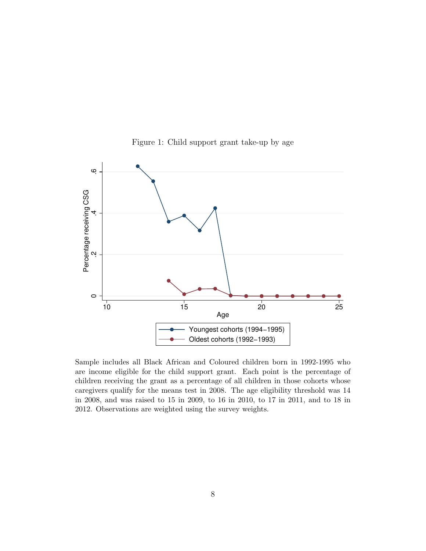



Sample includes all Black African and Coloured children born in 1992-1995 who are income eligible for the child support grant. Each point is the percentage of children receiving the grant as a percentage of all children in those cohorts whose caregivers qualify for the means test in 2008. The age eligibility threshold was 14 in 2008, and was raised to 15 in 2009, to 16 in 2010, to 17 in 2011, and to 18 in 2012. Observations are weighted using the survey weights.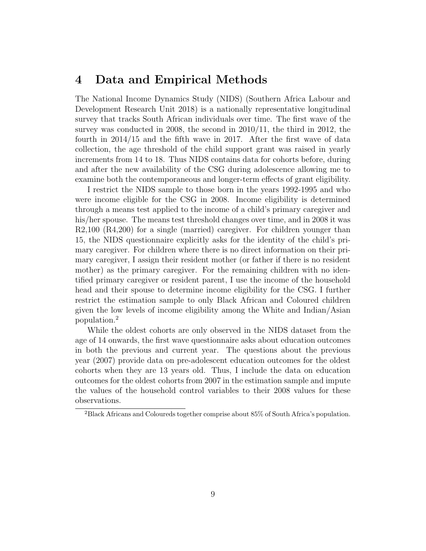## 4 Data and Empirical Methods

The National Income Dynamics Study (NIDS) (Southern Africa Labour and Development Research Unit 2018) is a nationally representative longitudinal survey that tracks South African individuals over time. The first wave of the survey was conducted in 2008, the second in 2010/11, the third in 2012, the fourth in 2014/15 and the fifth wave in 2017. After the first wave of data collection, the age threshold of the child support grant was raised in yearly increments from 14 to 18. Thus NIDS contains data for cohorts before, during and after the new availability of the CSG during adolescence allowing me to examine both the contemporaneous and longer-term effects of grant eligibility.

I restrict the NIDS sample to those born in the years 1992-1995 and who were income eligible for the CSG in 2008. Income eligibility is determined through a means test applied to the income of a child's primary caregiver and his/her spouse. The means test threshold changes over time, and in 2008 it was R2,100 (R4,200) for a single (married) caregiver. For children younger than 15, the NIDS questionnaire explicitly asks for the identity of the child's primary caregiver. For children where there is no direct information on their primary caregiver, I assign their resident mother (or father if there is no resident mother) as the primary caregiver. For the remaining children with no identified primary caregiver or resident parent, I use the income of the household head and their spouse to determine income eligibility for the CSG. I further restrict the estimation sample to only Black African and Coloured children given the low levels of income eligibility among the White and Indian/Asian population.<sup>2</sup>

While the oldest cohorts are only observed in the NIDS dataset from the age of 14 onwards, the first wave questionnaire asks about education outcomes in both the previous and current year. The questions about the previous year (2007) provide data on pre-adolescent education outcomes for the oldest cohorts when they are 13 years old. Thus, I include the data on education outcomes for the oldest cohorts from 2007 in the estimation sample and impute the values of the household control variables to their 2008 values for these observations.

<sup>2</sup>Black Africans and Coloureds together comprise about 85% of South Africa's population.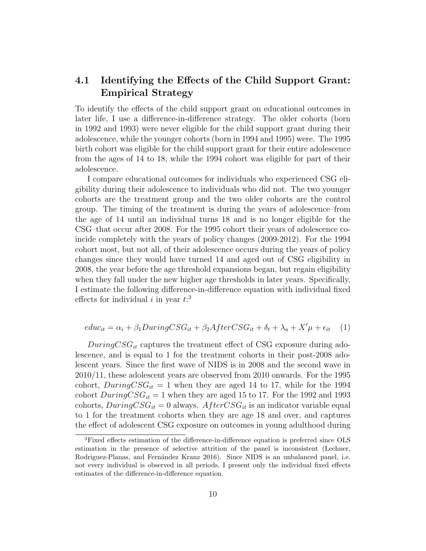### 4.1 Identifying the Effects of the Child Support Grant: Empirical Strategy

To identify the effects of the child support grant on educational outcomes in later life, I use a difference-in-difference strategy. The older cohorts (born in 1992 and 1993) were never eligible for the child support grant during their adolescence, while the younger cohorts (born in 1994 and 1995) were. The 1995 birth cohort was eligible for the child support grant for their entire adolescence from the ages of 14 to 18, while the 1994 cohort was eligible for part of their adolescence.

I compare educational outcomes for individuals who experienced CSG eligibility during their adolescence to individuals who did not. The two younger cohorts are the treatment group and the two older cohorts are the control group. The timing of the treatment is during the years of adolescence–from the age of 14 until an individual turns 18 and is no longer eligible for the CSG–that occur after 2008. For the 1995 cohort their years of adolescence coincide completely with the years of policy changes (2009-2012). For the 1994 cohort most, but not all, of their adolescence occurs during the years of policy changes since they would have turned 14 and aged out of CSG eligibility in 2008, the year before the age threshold expansions began, but regain eligibility when they fall under the new higher age thresholds in later years. Specifically, I estimate the following difference-in-difference equation with individual fixed effects for individual i in year  $t:3$ 

$$
educ_{it} = \alpha_i + \beta_1 DuringCSG_{it} + \beta_2 AfterCSG_{it} + \delta_t + \lambda_a + X'\mu + \epsilon_{it} \tag{1}
$$

 $DuringCSG_{it}$  captures the treatment effect of CSG exposure during adolescence, and is equal to 1 for the treatment cohorts in their post-2008 adolescent years. Since the first wave of NIDS is in 2008 and the second wave in 2010/11, these adolescent years are observed from 2010 onwards. For the 1995 cohort,  $DuringCSG_{it} = 1$  when they are aged 14 to 17, while for the 1994 cohort  $DuringCSG_{it} = 1$  when they are aged 15 to 17. For the 1992 and 1993 cohorts,  $DuringCSSG_{it} = 0$  always.  $AfterCSG_{it}$  is an indicator variable equal to 1 for the treatment cohorts when they are age 18 and over, and captures the effect of adolescent CSG exposure on outcomes in young adulthood during

<sup>3</sup>Fixed effects estimation of the difference-in-difference equation is preferred since OLS estimation in the presence of selective attrition of the panel is inconsistent (Lechner, Rodriguez-Planas, and Fernández Kranz 2016). Since NIDS is an unbalanced panel, i.e. not every individual is observed in all periods, I present only the individual fixed effects estimates of the difference-in-difference equation.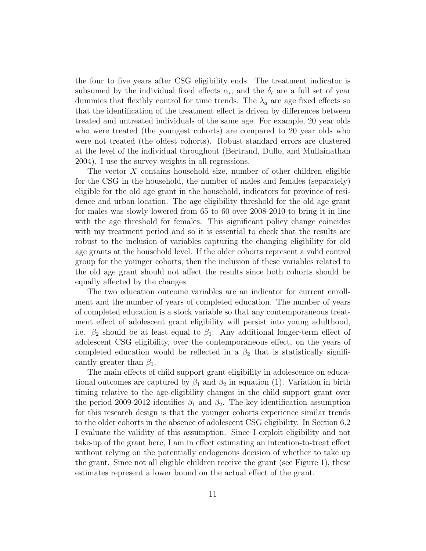the four to five years after CSG eligibility ends. The treatment indicator is subsumed by the individual fixed effects  $\alpha_i$ , and the  $\delta_t$  are a full set of year dummies that flexibly control for time trends. The  $\lambda_a$  are age fixed effects so that the identification of the treatment effect is driven by differences between treated and untreated individuals of the same age. For example, 20 year olds who were treated (the youngest cohorts) are compared to 20 year olds who were not treated (the oldest cohorts). Robust standard errors are clustered at the level of the individual throughout (Bertrand, Duflo, and Mullainathan 2004). I use the survey weights in all regressions.

The vector  $X$  contains household size, number of other children eligible for the CSG in the household, the number of males and females (separately) eligible for the old age grant in the household, indicators for province of residence and urban location. The age eligibility threshold for the old age grant for males was slowly lowered from 65 to 60 over 2008-2010 to bring it in line with the age threshold for females. This significant policy change coincides with my treatment period and so it is essential to check that the results are robust to the inclusion of variables capturing the changing eligibility for old age grants at the household level. If the older cohorts represent a valid control group for the younger cohorts, then the inclusion of these variables related to the old age grant should not affect the results since both cohorts should be equally affected by the changes.

The two education outcome variables are an indicator for current enrollment and the number of years of completed education. The number of years of completed education is a stock variable so that any contemporaneous treatment effect of adolescent grant eligibility will persist into young adulthood, i.e.  $\beta_2$  should be at least equal to  $\beta_1$ . Any additional longer-term effect of adolescent CSG eligibility, over the contemporaneous effect, on the years of completed education would be reflected in a  $\beta_2$  that is statistically significantly greater than  $\beta_1$ .

The main effects of child support grant eligibility in adolescence on educational outcomes are captured by  $\beta_1$  and  $\beta_2$  in equation (1). Variation in birth timing relative to the age-eligibility changes in the child support grant over the period 2009-2012 identifies  $\beta_1$  and  $\beta_2$ . The key identification assumption for this research design is that the younger cohorts experience similar trends to the older cohorts in the absence of adolescent CSG eligibility. In Section 6.2 I evaluate the validity of this assumption. Since I exploit eligibility and not take-up of the grant here, I am in effect estimating an intention-to-treat effect without relying on the potentially endogenous decision of whether to take up the grant. Since not all eligible children receive the grant (see Figure 1), these estimates represent a lower bound on the actual effect of the grant.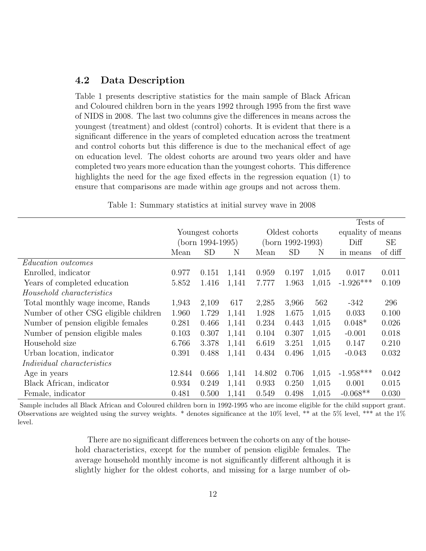### 4.2 Data Description

Table 1 presents descriptive statistics for the main sample of Black African and Coloured children born in the years 1992 through 1995 from the first wave of NIDS in 2008. The last two columns give the differences in means across the youngest (treatment) and oldest (control) cohorts. It is evident that there is a significant difference in the years of completed education across the treatment and control cohorts but this difference is due to the mechanical effect of age on education level. The oldest cohorts are around two years older and have completed two years more education than the youngest cohorts. This difference highlights the need for the age fixed effects in the regression equation (1) to ensure that comparisons are made within age groups and not across them.

|                                       |                  |       |                    |        |           |                   | Tests of    |         |
|---------------------------------------|------------------|-------|--------------------|--------|-----------|-------------------|-------------|---------|
|                                       | Youngest cohorts |       | Oldest cohorts     |        |           | equality of means |             |         |
|                                       | (born 1994-1995) |       | $(born 1992-1993)$ |        |           | Diff              | SЕ          |         |
|                                       | Mean             | SD    | N                  | Mean   | <b>SD</b> | N                 | in means    | of diff |
| <i>Education outcomes</i>             |                  |       |                    |        |           |                   |             |         |
| Enrolled, indicator                   | 0.977            | 0.151 | 1,141              | 0.959  | 0.197     | 1,015             | 0.017       | 0.011   |
| Years of completed education          | 5.852            | 1.416 | 1,141              | 7.777  | 1.963     | 1,015             | $-1.926***$ | 0.109   |
| Household characteristics             |                  |       |                    |        |           |                   |             |         |
| Total monthly wage income, Rands      | 1,943            | 2,109 | 617                | 2,285  | 3,966     | 562               | $-342$      | 296     |
| Number of other CSG eligible children | 1.960            | 1.729 | 1,141              | 1.928  | 1.675     | 1,015             | 0.033       | 0.100   |
| Number of pension eligible females    | 0.281            | 0.466 | 1,141              | 0.234  | 0.443     | 1,015             | $0.048*$    | 0.026   |
| Number of pension eligible males      | 0.103            | 0.307 | 1,141              | 0.104  | 0.307     | 1,015             | $-0.001$    | 0.018   |
| Household size                        | 6.766            | 3.378 | 1,141              | 6.619  | 3.251     | 1,015             | 0.147       | 0.210   |
| Urban location, indicator             | 0.391            | 0.488 | 1,141              | 0.434  | 0.496     | 1,015             | $-0.043$    | 0.032   |
| <i>Individual characteristics</i>     |                  |       |                    |        |           |                   |             |         |
| Age in years                          | 12.844           | 0.666 | 1,141              | 14.802 | 0.706     | 1,015             | $-1.958***$ | 0.042   |
| Black African, indicator              | 0.934            | 0.249 | 1,141              | 0.933  | 0.250     | 1,015             | 0.001       | 0.015   |
| Female, indicator                     | 0.481            | 0.500 | 1,141              | 0.549  | 0.498     | 1,015             | $-0.068**$  | 0.030   |

Table 1: Summary statistics at initial survey wave in 2008

Sample includes all Black African and Coloured children born in 1992-1995 who are income eligible for the child support grant. Observations are weighted using the survey weights. \* denotes significance at the  $10\%$  level, \*\* at the  $5\%$  level, \*\*\* at the  $1\%$ level.

> There are no significant differences between the cohorts on any of the household characteristics, except for the number of pension eligible females. The average household monthly income is not significantly different although it is slightly higher for the oldest cohorts, and missing for a large number of ob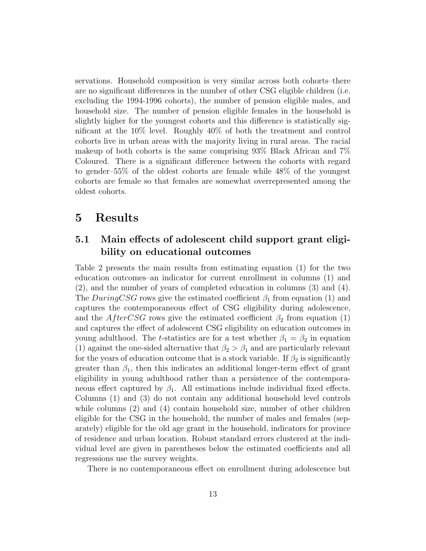servations. Household composition is very similar across both cohorts–there are no significant differences in the number of other CSG eligible children (i.e. excluding the 1994-1996 cohorts), the number of pension eligible males, and household size. The number of pension eligible females in the household is slightly higher for the youngest cohorts and this difference is statistically significant at the 10% level. Roughly 40% of both the treatment and control cohorts live in urban areas with the majority living in rural areas. The racial makeup of both cohorts is the same comprising 93% Black African and 7% Coloured. There is a significant difference between the cohorts with regard to gender–55% of the oldest cohorts are female while 48% of the youngest cohorts are female so that females are somewhat overrepresented among the oldest cohorts.

### 5 Results

### 5.1 Main effects of adolescent child support grant eligibility on educational outcomes

Table 2 presents the main results from estimating equation (1) for the two education outcomes–an indicator for current enrollment in columns (1) and (2), and the number of years of completed education in columns (3) and (4). The DuringCSG rows give the estimated coefficient  $\beta_1$  from equation (1) and captures the contemporaneous effect of CSG eligibility during adolescence, and the AfterCSG rows give the estimated coefficient  $\beta_2$  from equation (1) and captures the effect of adolescent CSG eligibility on education outcomes in young adulthood. The t-statistics are for a test whether  $\beta_1 = \beta_2$  in equation (1) against the one-sided alternative that  $\beta_2 > \beta_1$  and are particularly relevant for the years of education outcome that is a stock variable. If  $\beta_2$  is significantly greater than  $\beta_1$ , then this indicates an additional longer-term effect of grant eligibility in young adulthood rather than a persistence of the contemporaneous effect captured by  $\beta_1$ . All estimations include individual fixed effects. Columns (1) and (3) do not contain any additional household level controls while columns  $(2)$  and  $(4)$  contain household size, number of other children eligible for the CSG in the household, the number of males and females (separately) eligible for the old age grant in the household, indicators for province of residence and urban location. Robust standard errors clustered at the individual level are given in parentheses below the estimated coefficients and all regressions use the survey weights.

There is no contemporaneous effect on enrollment during adolescence but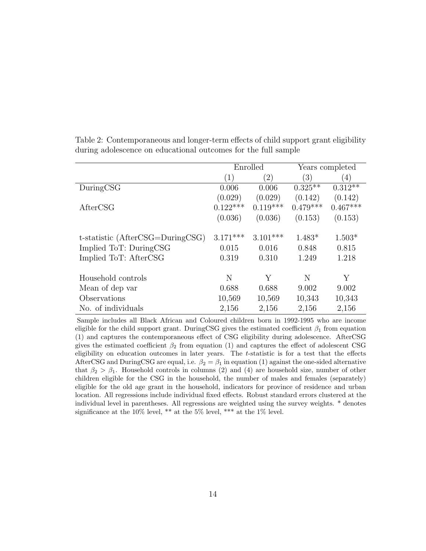|                                  | Enrolled   |            |            | Years completed |
|----------------------------------|------------|------------|------------|-----------------|
|                                  | (1)        | (2)        | (3)        | (4)             |
| DuringCSG                        | 0.006      | 0.006      | $0.325**$  | $0.312**$       |
|                                  | (0.029)    | (0.029)    | (0.142)    | (0.142)         |
| AfterCSG                         | $0.122***$ | $0.119***$ | $0.479***$ | $0.467***$      |
|                                  | (0.036)    | (0.036)    | (0.153)    | (0.153)         |
|                                  |            |            |            |                 |
| t-statistic (AfterCSG=DuringCSG) | $3.171***$ | $3.101***$ | $1.483*$   | $1.503*$        |
| Implied ToT: DuringCSG           | 0.015      | 0.016      | 0.848      | 0.815           |
| Implied ToT: AfterCSG            | 0.319      | 0.310      | 1.249      | 1.218           |
|                                  |            |            |            |                 |
| Household controls               | N          | Υ          | N          | Y               |
| Mean of dep var                  | 0.688      | 0.688      | 9.002      | 9.002           |
| Observations                     | 10,569     | 10,569     | 10,343     | 10,343          |
| No. of individuals               | 2,156      | 2,156      | 2,156      | 2,156           |

Table 2: Contemporaneous and longer-term effects of child support grant eligibility during adolescence on educational outcomes for the full sample

Sample includes all Black African and Coloured children born in 1992-1995 who are income eligible for the child support grant. DuringCSG gives the estimated coefficient  $\beta_1$  from equation (1) and captures the contemporaneous effect of CSG eligibility during adolescence. AfterCSG gives the estimated coefficient  $\beta_2$  from equation (1) and captures the effect of adolescent CSG eligibility on education outcomes in later years. The  $t$ -statistic is for a test that the effects AfterCSG and DuringCSG are equal, i.e.  $\beta_2 = \beta_1$  in equation (1) against the one-sided alternative that  $\beta_2 > \beta_1$ . Household controls in columns (2) and (4) are household size, number of other children eligible for the CSG in the household, the number of males and females (separately) eligible for the old age grant in the household, indicators for province of residence and urban location. All regressions include individual fixed effects. Robust standard errors clustered at the individual level in parentheses. All regressions are weighted using the survey weights. \* denotes significance at the 10% level, \*\* at the 5% level, \*\*\* at the 1% level.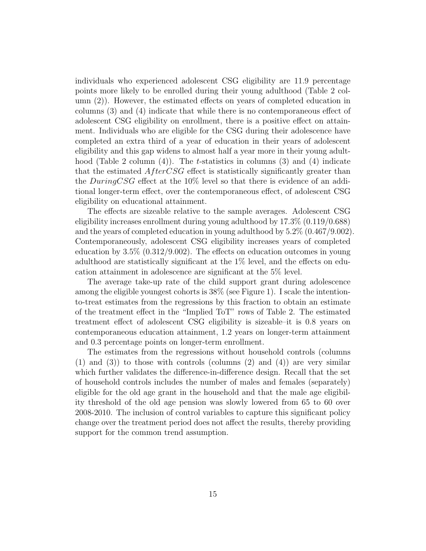individuals who experienced adolescent CSG eligibility are 11.9 percentage points more likely to be enrolled during their young adulthood (Table 2 column (2)). However, the estimated effects on years of completed education in columns (3) and (4) indicate that while there is no contemporaneous effect of adolescent CSG eligibility on enrollment, there is a positive effect on attainment. Individuals who are eligible for the CSG during their adolescence have completed an extra third of a year of education in their years of adolescent eligibility and this gap widens to almost half a year more in their young adulthood (Table 2 column  $(4)$ ). The t-statistics in columns (3) and (4) indicate that the estimated  $AfterCSG$  effect is statistically significantly greater than the  $DuringCSG$  effect at the 10% level so that there is evidence of an additional longer-term effect, over the contemporaneous effect, of adolescent CSG eligibility on educational attainment.

The effects are sizeable relative to the sample averages. Adolescent CSG eligibility increases enrollment during young adulthood by 17.3% (0.119/0.688) and the years of completed education in young adulthood by 5.2% (0.467/9.002). Contemporaneously, adolescent CSG eligibility increases years of completed education by 3.5% (0.312/9.002). The effects on education outcomes in young adulthood are statistically significant at the 1% level, and the effects on education attainment in adolescence are significant at the 5% level.

The average take-up rate of the child support grant during adolescence among the eligible youngest cohorts is 38% (see Figure 1). I scale the intentionto-treat estimates from the regressions by this fraction to obtain an estimate of the treatment effect in the "Implied ToT" rows of Table 2. The estimated treatment effect of adolescent CSG eligibility is sizeable–it is 0.8 years on contemporaneous education attainment, 1.2 years on longer-term attainment and 0.3 percentage points on longer-term enrollment.

The estimates from the regressions without household controls (columns  $(1)$  and  $(3)$ ) to those with controls (columns  $(2)$  and  $(4)$ ) are very similar which further validates the difference-in-difference design. Recall that the set of household controls includes the number of males and females (separately) eligible for the old age grant in the household and that the male age eligibility threshold of the old age pension was slowly lowered from 65 to 60 over 2008-2010. The inclusion of control variables to capture this significant policy change over the treatment period does not affect the results, thereby providing support for the common trend assumption.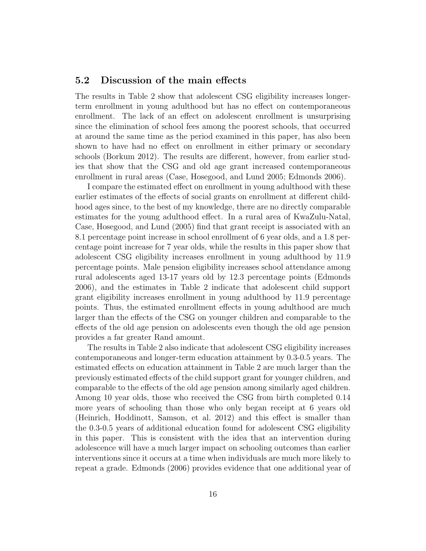#### 5.2 Discussion of the main effects

The results in Table 2 show that adolescent CSG eligibility increases longerterm enrollment in young adulthood but has no effect on contemporaneous enrollment. The lack of an effect on adolescent enrollment is unsurprising since the elimination of school fees among the poorest schools, that occurred at around the same time as the period examined in this paper, has also been shown to have had no effect on enrollment in either primary or secondary schools (Borkum 2012). The results are different, however, from earlier studies that show that the CSG and old age grant increased contemporaneous enrollment in rural areas (Case, Hosegood, and Lund 2005; Edmonds 2006).

I compare the estimated effect on enrollment in young adulthood with these earlier estimates of the effects of social grants on enrollment at different childhood ages since, to the best of my knowledge, there are no directly comparable estimates for the young adulthood effect. In a rural area of KwaZulu-Natal, Case, Hosegood, and Lund (2005) find that grant receipt is associated with an 8.1 percentage point increase in school enrollment of 6 year olds, and a 1.8 percentage point increase for 7 year olds, while the results in this paper show that adolescent CSG eligibility increases enrollment in young adulthood by 11.9 percentage points. Male pension eligibility increases school attendance among rural adolescents aged 13-17 years old by 12.3 percentage points (Edmonds 2006), and the estimates in Table 2 indicate that adolescent child support grant eligibility increases enrollment in young adulthood by 11.9 percentage points. Thus, the estimated enrollment effects in young adulthood are much larger than the effects of the CSG on younger children and comparable to the effects of the old age pension on adolescents even though the old age pension provides a far greater Rand amount.

The results in Table 2 also indicate that adolescent CSG eligibility increases contemporaneous and longer-term education attainment by 0.3-0.5 years. The estimated effects on education attainment in Table 2 are much larger than the previously estimated effects of the child support grant for younger children, and comparable to the effects of the old age pension among similarly aged children. Among 10 year olds, those who received the CSG from birth completed 0.14 more years of schooling than those who only began receipt at 6 years old (Heinrich, Hoddinott, Samson, et al. 2012) and this effect is smaller than the 0.3-0.5 years of additional education found for adolescent CSG eligibility in this paper. This is consistent with the idea that an intervention during adolescence will have a much larger impact on schooling outcomes than earlier interventions since it occurs at a time when individuals are much more likely to repeat a grade. Edmonds (2006) provides evidence that one additional year of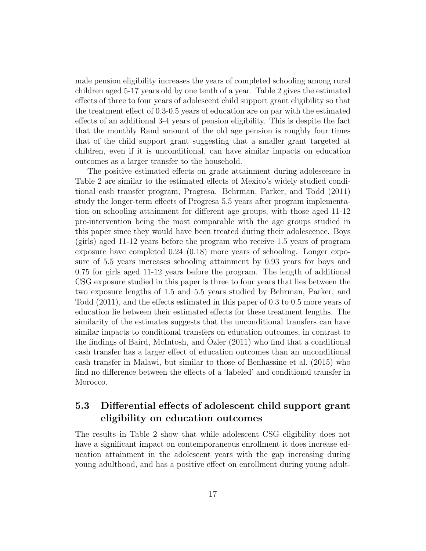male pension eligibility increases the years of completed schooling among rural children aged 5-17 years old by one tenth of a year. Table 2 gives the estimated effects of three to four years of adolescent child support grant eligibility so that the treatment effect of 0.3-0.5 years of education are on par with the estimated effects of an additional 3-4 years of pension eligibility. This is despite the fact that the monthly Rand amount of the old age pension is roughly four times that of the child support grant suggesting that a smaller grant targeted at children, even if it is unconditional, can have similar impacts on education outcomes as a larger transfer to the household.

The positive estimated effects on grade attainment during adolescence in Table 2 are similar to the estimated effects of Mexico's widely studied conditional cash transfer program, Progresa. Behrman, Parker, and Todd (2011) study the longer-term effects of Progresa 5.5 years after program implementation on schooling attainment for different age groups, with those aged 11-12 pre-intervention being the most comparable with the age groups studied in this paper since they would have been treated during their adolescence. Boys (girls) aged 11-12 years before the program who receive 1.5 years of program exposure have completed 0.24 (0.18) more years of schooling. Longer exposure of 5.5 years increases schooling attainment by 0.93 years for boys and 0.75 for girls aged 11-12 years before the program. The length of additional CSG exposure studied in this paper is three to four years that lies between the two exposure lengths of 1.5 and 5.5 years studied by Behrman, Parker, and Todd (2011), and the effects estimated in this paper of 0.3 to 0.5 more years of education lie between their estimated effects for these treatment lengths. The similarity of the estimates suggests that the unconditional transfers can have similar impacts to conditional transfers on education outcomes, in contrast to the findings of Baird, McIntosh, and Ozler  $(2011)$  who find that a conditional cash transfer has a larger effect of education outcomes than an unconditional cash transfer in Malawi, but similar to those of Benhassine et al. (2015) who find no difference between the effects of a 'labeled' and conditional transfer in Morocco.

### 5.3 Differential effects of adolescent child support grant eligibility on education outcomes

The results in Table 2 show that while adolescent CSG eligibility does not have a significant impact on contemporaneous enrollment it does increase education attainment in the adolescent years with the gap increasing during young adulthood, and has a positive effect on enrollment during young adult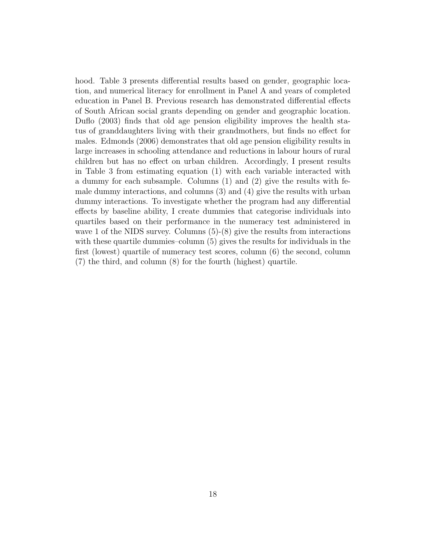hood. Table 3 presents differential results based on gender, geographic location, and numerical literacy for enrollment in Panel A and years of completed education in Panel B. Previous research has demonstrated differential effects of South African social grants depending on gender and geographic location. Duflo (2003) finds that old age pension eligibility improves the health status of granddaughters living with their grandmothers, but finds no effect for males. Edmonds (2006) demonstrates that old age pension eligibility results in large increases in schooling attendance and reductions in labour hours of rural children but has no effect on urban children. Accordingly, I present results in Table 3 from estimating equation (1) with each variable interacted with a dummy for each subsample. Columns (1) and (2) give the results with female dummy interactions, and columns (3) and (4) give the results with urban dummy interactions. To investigate whether the program had any differential effects by baseline ability, I create dummies that categorise individuals into quartiles based on their performance in the numeracy test administered in wave 1 of the NIDS survey. Columns  $(5)-(8)$  give the results from interactions with these quartile dummies–column (5) gives the results for individuals in the first (lowest) quartile of numeracy test scores, column (6) the second, column (7) the third, and column (8) for the fourth (highest) quartile.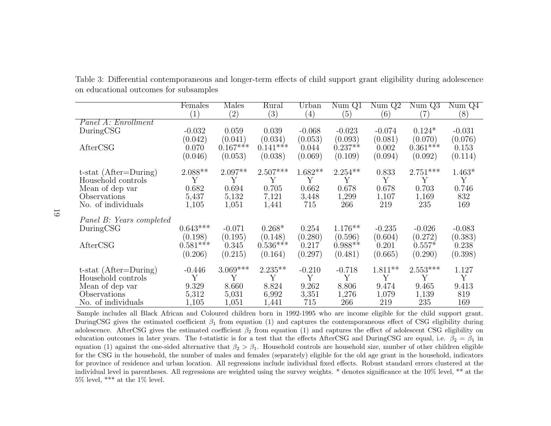|                            | Females         | Males      | Rural      | Urban             | NumQ1     | NumQ2     | NumQ3             | NumQ4    |
|----------------------------|-----------------|------------|------------|-------------------|-----------|-----------|-------------------|----------|
|                            | (1)             | (2)        | (3)        | $\left( 4\right)$ | (5)       | (6)       | $\left( 7\right)$ | (8)      |
| <i>Panel A: Enrollment</i> |                 |            |            |                   |           |           |                   |          |
| DuringCSG                  | $-0.032$        | 0.059      | 0.039      | $-0.068$          | $-0.023$  | $-0.074$  | $0.124*$          | $-0.031$ |
|                            | (0.042)         | (0.041)    | (0.034)    | (0.053)           | (0.093)   | (0.081)   | (0.070)           | (0.076)  |
| AfterCSG                   | 0.070           | $0.167***$ | $0.141***$ | 0.044             | $0.237**$ | 0.002     | $0.361***$        | 0.153    |
|                            | (0.046)         | (0.053)    | (0.038)    | (0.069)           | (0.109)   | (0.094)   | (0.092)           | (0.114)  |
| t-stat $(After=During)$    | $2.088**$       | $2.097**$  | $2.507***$ | $1.682**$         | $2.254**$ | 0.833     | $2.751***$        | $1.463*$ |
| Household controls         | Y               | Y          | Y          | Y                 | Y         | Y         | Y                 | Y        |
| Mean of dep var            | 0.682           | 0.694      | 0.705      | 0.662             | 0.678     | 0.678     | 0.703             | 0.746    |
| Observations               | 5,437           | 5,132      | 7,121      | 3,448             | 1,299     | 1,107     | 1,169             | 832      |
| No. of individuals         | 1,105           | 1,051      | 1,441      | 715               | 266       | 219       | 235               | 169      |
| Panel B: Years completed   |                 |            |            |                   |           |           |                   |          |
| During <sub>CSG</sub>      | $0.643^{***}\,$ | $-0.071$   | $0.268*$   | 0.254             | $1.176**$ | $-0.235$  | $-0.026$          | $-0.083$ |
|                            | (0.198)         | (0.195)    | (0.148)    | (0.280)           | (0.596)   | (0.604)   | (0.272)           | (0.383)  |
| AfterCSG                   | $0.581***$      | 0.345      | $0.536***$ | 0.217             | $0.988**$ | 0.201     | $0.557*$          | 0.238    |
|                            | (0.206)         | (0.215)    | (0.164)    | (0.297)           | (0.481)   | (0.665)   | (0.290)           | (0.398)  |
| $t$ -stat (After=During)   | $-0.446$        | $3.069***$ | $2.235**$  | $-0.210$          | $-0.718$  | $1.811**$ | $2.553***$        | 1.127    |
| Household controls         | Y               | Y          | Y          | Y                 | Y         | Y         | Y                 | Y        |
| Mean of dep var            | 9.329           | 8.660      | 8.824      | 9.262             | 8.806     | 9.474     | 9.465             | 9.413    |
| Observations               | 5,312           | 5,031      | 6,992      | 3,351             | 1,276     | 1,079     | 1,139             | 819      |
| No. of individuals         | 1,105           | 1,051      | 1,441      | 715               | 266       | 219       | 235               | 169      |

Table 3: Differential contemporaneous and longer-term effects of child support grant eligibility during adolescenceon educational outcomes for subsamples

 Sample includes all Black African and Coloured children born in 1992-1995 who are income eligible for the child support grant.DuringCSG gives the estimated coefficient  $\beta_1$  from equation (1) and captures the contemporaneous effect of CSG eligibility during adolescence. AfterCSG gives the estimated coefficient  $\beta_2$  from equation (1) and captures the effect of adolescent CSG eligibility on education outcomes in later years. The t-statistic is for a test that the effects AfterCSG and DuringCSG are equal, i.e.  $\beta_2 = \beta_1$  in equation (1) against the one-sided alternative that  $\beta_2 > \beta_1$ . Household controls are household size, number of other children eligible for the CSG in the household, the number of males and females (separately) eligible for the old age grant in the household, indicators for province of residence and urban location. All regressions include individual fixed effects. Robust standard errors clustered at the individual level in parentheses. All regressions are weighted using the survey weights. \* denotes significance at the 10% level, \*\* at the5% level, \*\*\* at the 1% level.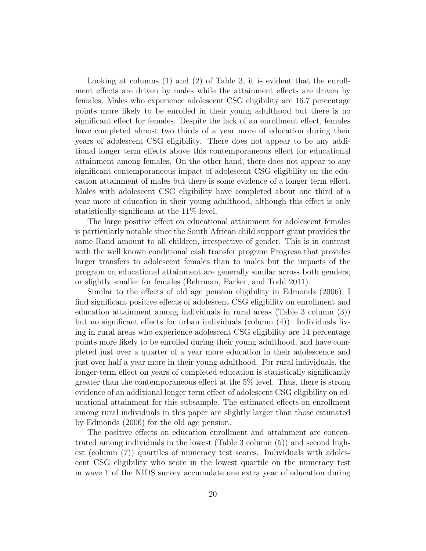Looking at columns (1) and (2) of Table 3, it is evident that the enrollment effects are driven by males while the attainment effects are driven by females. Males who experience adolescent CSG eligibility are 16.7 percentage points more likely to be enrolled in their young adulthood but there is no significant effect for females. Despite the lack of an enrollment effect, females have completed almost two thirds of a year more of education during their years of adolescent CSG eligibility. There does not appear to be any additional longer term effects above this contemporaneous effect for educational attainment among females. On the other hand, there does not appear to any significant contemporaneous impact of adolescent CSG eligibility on the education attainment of males but there is some evidence of a longer term effect. Males with adolescent CSG eligibility have completed about one third of a year more of education in their young adulthood, although this effect is only statistically significant at the 11% level.

The large positive effect on educational attainment for adolescent females is particularly notable since the South African child support grant provides the same Rand amount to all children, irrespective of gender. This is in contrast with the well known conditional cash transfer program Progresa that provides larger transfers to adolescent females than to males but the impacts of the program on educational attainment are generally similar across both genders, or slightly smaller for females (Behrman, Parker, and Todd 2011).

Similar to the effects of old age pension eligibility in Edmonds (2006), I find significant positive effects of adolescent CSG eligibility on enrollment and education attainment among individuals in rural areas (Table 3 column (3)) but no significant effects for urban individuals (column (4)). Individuals living in rural areas who experience adolescent CSG eligibility are 14 percentage points more likely to be enrolled during their young adulthood, and have completed just over a quarter of a year more education in their adolescence and just over half a year more in their young adulthood. For rural individuals, the longer-term effect on years of completed education is statistically significantly greater than the contemporaneous effect at the 5% level. Thus, there is strong evidence of an additional longer term effect of adolescent CSG eligibility on educational attainment for this subsample. The estimated effects on enrollment among rural individuals in this paper are slightly larger than those estimated by Edmonds (2006) for the old age pension.

The positive effects on education enrollment and attainment are concentrated among individuals in the lowest (Table 3 column (5)) and second highest (column (7)) quartiles of numeracy test scores. Individuals with adolescent CSG eligibility who score in the lowest quartile on the numeracy test in wave 1 of the NIDS survey accumulate one extra year of education during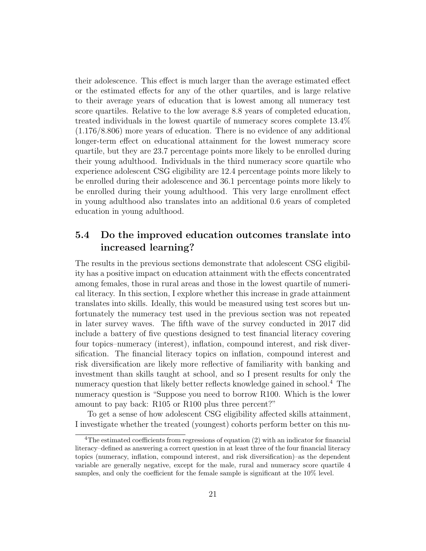their adolescence. This effect is much larger than the average estimated effect or the estimated effects for any of the other quartiles, and is large relative to their average years of education that is lowest among all numeracy test score quartiles. Relative to the low average 8.8 years of completed education, treated individuals in the lowest quartile of numeracy scores complete 13.4% (1.176/8.806) more years of education. There is no evidence of any additional longer-term effect on educational attainment for the lowest numeracy score quartile, but they are 23.7 percentage points more likely to be enrolled during their young adulthood. Individuals in the third numeracy score quartile who experience adolescent CSG eligibility are 12.4 percentage points more likely to be enrolled during their adolescence and 36.1 percentage points more likely to be enrolled during their young adulthood. This very large enrollment effect in young adulthood also translates into an additional 0.6 years of completed education in young adulthood.

### 5.4 Do the improved education outcomes translate into increased learning?

The results in the previous sections demonstrate that adolescent CSG eligibility has a positive impact on education attainment with the effects concentrated among females, those in rural areas and those in the lowest quartile of numerical literacy. In this section, I explore whether this increase in grade attainment translates into skills. Ideally, this would be measured using test scores but unfortunately the numeracy test used in the previous section was not repeated in later survey waves. The fifth wave of the survey conducted in 2017 did include a battery of five questions designed to test financial literacy covering four topics–numeracy (interest), inflation, compound interest, and risk diversification. The financial literacy topics on inflation, compound interest and risk diversification are likely more reflective of familiarity with banking and investment than skills taught at school, and so I present results for only the numeracy question that likely better reflects knowledge gained in school.<sup>4</sup> The numeracy question is "Suppose you need to borrow R100. Which is the lower amount to pay back: R105 or R100 plus three percent?"

To get a sense of how adolescent CSG eligibility affected skills attainment, I investigate whether the treated (youngest) cohorts perform better on this nu-

<sup>4</sup>The estimated coefficients from regressions of equation (2) with an indicator for financial literacy–defined as answering a correct question in at least three of the four financial literacy topics (numeracy, inflation, compound interest, and risk diversification)–as the dependent variable are generally negative, except for the male, rural and numeracy score quartile 4 samples, and only the coefficient for the female sample is significant at the 10% level.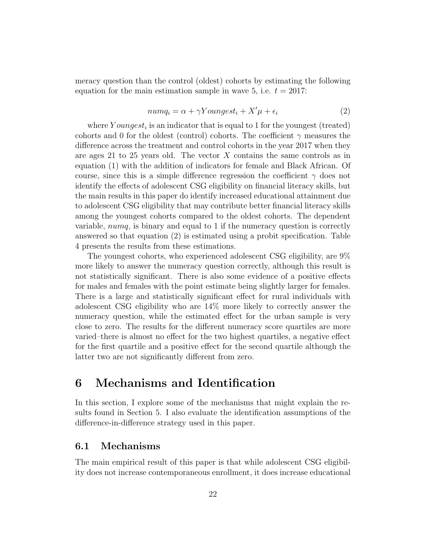meracy question than the control (oldest) cohorts by estimating the following equation for the main estimation sample in wave 5, i.e.  $t = 2017$ :

$$
numq_i = \alpha + \gamma Youngest_i + X'\mu + \epsilon_i \tag{2}
$$

where  $Youngest_i$  is an indicator that is equal to 1 for the youngest (treated) cohorts and 0 for the oldest (control) cohorts. The coefficient  $\gamma$  measures the difference across the treatment and control cohorts in the year 2017 when they are ages 21 to 25 years old. The vector  $X$  contains the same controls as in equation (1) with the addition of indicators for female and Black African. Of course, since this is a simple difference regression the coefficient  $\gamma$  does not identify the effects of adolescent CSG eligibility on financial literacy skills, but the main results in this paper do identify increased educational attainment due to adolescent CSG eligibility that may contribute better financial literacy skills among the youngest cohorts compared to the oldest cohorts. The dependent variable, numq, is binary and equal to 1 if the numeracy question is correctly answered so that equation (2) is estimated using a probit specification. Table 4 presents the results from these estimations.

The youngest cohorts, who experienced adolescent CSG eligibility, are 9% more likely to answer the numeracy question correctly, although this result is not statistically significant. There is also some evidence of a positive effects for males and females with the point estimate being slightly larger for females. There is a large and statistically significant effect for rural individuals with adolescent CSG eligibility who are 14% more likely to correctly answer the numeracy question, while the estimated effect for the urban sample is very close to zero. The results for the different numeracy score quartiles are more varied–there is almost no effect for the two highest quartiles, a negative effect for the first quartile and a positive effect for the second quartile although the latter two are not significantly different from zero.

# 6 Mechanisms and Identification

In this section, I explore some of the mechanisms that might explain the results found in Section 5. I also evaluate the identification assumptions of the difference-in-difference strategy used in this paper.

### 6.1 Mechanisms

The main empirical result of this paper is that while adolescent CSG eligibility does not increase contemporaneous enrollment, it does increase educational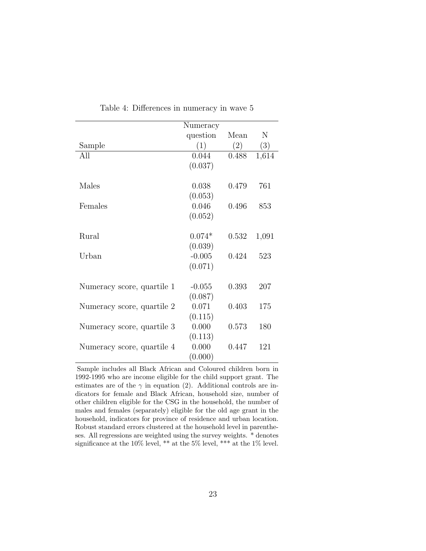|                            | Numeracy |       |       |
|----------------------------|----------|-------|-------|
|                            | question | Mean  | N     |
| Sample                     | (1)      | (2)   | (3)   |
| All                        | 0.044    | 0.488 | 1,614 |
|                            | (0.037)  |       |       |
|                            |          |       |       |
| Males                      | 0.038    | 0.479 | 761   |
|                            | (0.053)  |       |       |
| Females                    | 0.046    | 0.496 | 853   |
|                            | (0.052)  |       |       |
|                            |          |       |       |
| Rural                      | $0.074*$ | 0.532 | 1,091 |
|                            | (0.039)  |       |       |
| Urban                      | $-0.005$ | 0.424 | 523   |
|                            | (0.071)  |       |       |
|                            |          |       |       |
| Numeracy score, quartile 1 | $-0.055$ | 0.393 | 207   |
|                            | (0.087)  |       |       |
| Numeracy score, quartile 2 | 0.071    | 0.403 | 175   |
|                            | (0.115)  |       |       |
| Numeracy score, quartile 3 | 0.000    | 0.573 | 180   |
|                            | (0.113)  |       |       |
| Numeracy score, quartile 4 | 0.000    | 0.447 | 121   |
|                            | (0.000)  |       |       |

Table 4: Differences in numeracy in wave 5

Sample includes all Black African and Coloured children born in 1992-1995 who are income eligible for the child support grant. The estimates are of the  $\gamma$  in equation (2). Additional controls are indicators for female and Black African, household size, number of other children eligible for the CSG in the household, the number of males and females (separately) eligible for the old age grant in the household, indicators for province of residence and urban location. Robust standard errors clustered at the household level in parentheses. All regressions are weighted using the survey weights. \* denotes significance at the 10% level, \*\* at the 5% level, \*\*\* at the 1% level.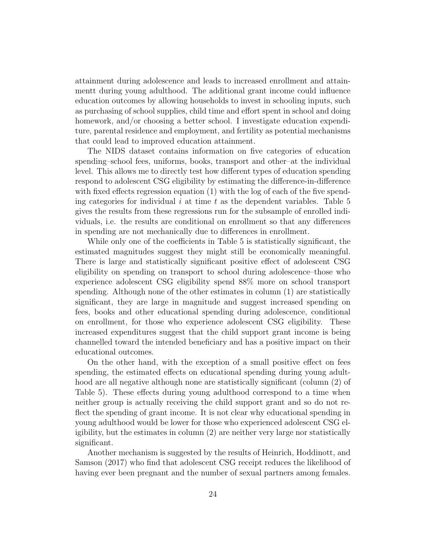attainment during adolescence and leads to increased enrollment and attainmentt during young adulthood. The additional grant income could influence education outcomes by allowing households to invest in schooling inputs, such as purchasing of school supplies, child time and effort spent in school and doing homework, and/or choosing a better school. I investigate education expenditure, parental residence and employment, and fertility as potential mechanisms that could lead to improved education attainment.

The NIDS dataset contains information on five categories of education spending–school fees, uniforms, books, transport and other–at the individual level. This allows me to directly test how different types of education spending respond to adolescent CSG eligibility by estimating the difference-in-difference with fixed effects regression equation (1) with the log of each of the five spending categories for individual i at time t as the dependent variables. Table 5 gives the results from these regressions run for the subsample of enrolled individuals, i.e. the results are conditional on enrollment so that any differences in spending are not mechanically due to differences in enrollment.

While only one of the coefficients in Table 5 is statistically significant, the estimated magnitudes suggest they might still be economically meaningful. There is large and statistically significant positive effect of adolescent CSG eligibility on spending on transport to school during adolescence–those who experience adolescent CSG eligibility spend 88% more on school transport spending. Although none of the other estimates in column (1) are statistically significant, they are large in magnitude and suggest increased spending on fees, books and other educational spending during adolescence, conditional on enrollment, for those who experience adolescent CSG eligibility. These increased expenditures suggest that the child support grant income is being channelled toward the intended beneficiary and has a positive impact on their educational outcomes.

On the other hand, with the exception of a small positive effect on fees spending, the estimated effects on educational spending during young adulthood are all negative although none are statistically significant (column  $(2)$ ) of Table 5). These effects during young adulthood correspond to a time when neither group is actually receiving the child support grant and so do not reflect the spending of grant income. It is not clear why educational spending in young adulthood would be lower for those who experienced adolescent CSG eligibility, but the estimates in column (2) are neither very large nor statistically significant.

Another mechanism is suggested by the results of Heinrich, Hoddinott, and Samson (2017) who find that adolescent CSG receipt reduces the likelihood of having ever been pregnant and the number of sexual partners among females.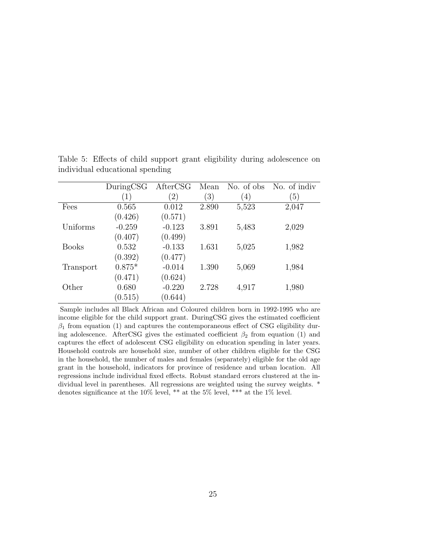|              | DuringCSG        | AfterCSG | Mean              | No. of obs       | No. of indiv     |
|--------------|------------------|----------|-------------------|------------------|------------------|
|              | $\left(1\right)$ | $^{'}2)$ | $\left( 3\right)$ | $\left(4\right)$ | $\left(5\right)$ |
| Fees         | 0.565            | 0.012    | 2.890             | 5,523            | 2,047            |
|              | (0.426)          | (0.571)  |                   |                  |                  |
| Uniforms     | $-0.259$         | $-0.123$ | 3.891             | 5,483            | 2,029            |
|              | (0.407)          | (0.499)  |                   |                  |                  |
| <b>Books</b> | 0.532            | $-0.133$ | 1.631             | 5,025            | 1,982            |
|              | (0.392)          | (0.477)  |                   |                  |                  |
| Transport    | $0.875*$         | $-0.014$ | 1.390             | 5,069            | 1,984            |
|              | (0.471)          | (0.624)  |                   |                  |                  |
| Other        | 0.680            | $-0.220$ | 2.728             | 4,917            | 1,980            |
|              | (0.515)          | (0.644)  |                   |                  |                  |

Table 5: Effects of child support grant eligibility during adolescence on individual educational spending

Sample includes all Black African and Coloured children born in 1992-1995 who are income eligible for the child support grant. DuringCSG gives the estimated coefficient  $\beta_1$  from equation (1) and captures the contemporaneous effect of CSG eligibility during adolescence. AfterCSG gives the estimated coefficient  $\beta_2$  from equation (1) and captures the effect of adolescent CSG eligibility on education spending in later years. Household controls are household size, number of other children eligible for the CSG in the household, the number of males and females (separately) eligible for the old age grant in the household, indicators for province of residence and urban location. All regressions include individual fixed effects. Robust standard errors clustered at the individual level in parentheses. All regressions are weighted using the survey weights. \* denotes significance at the 10% level, \*\* at the 5% level, \*\*\* at the 1% level.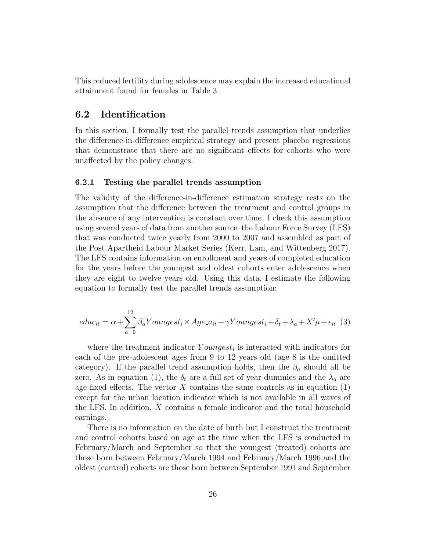This reduced fertility during adolescence may explain the increased educational attainment found for females in Table 3.

#### 6.2 Identification

In this section, I formally test the parallel trends assumption that underlies the difference-in-difference empirical strategy and present placebo regressions that demonstrate that there are no significant effects for cohorts who were unaffected by the policy changes.

#### 6.2.1 Testing the parallel trends assumption

The validity of the difference-in-difference estimation strategy rests on the assumption that the difference between the treatment and control groups in the absence of any intervention is constant over time. I check this assumption using several years of data from another source–the Labour Force Survey (LFS) that was conducted twice yearly from 2000 to 2007 and assembled as part of the Post Apartheid Labour Market Series (Kerr, Lam, and Wittenberg 2017). The LFS contains information on enrollment and years of completed education for the years before the youngest and oldest cohorts enter adolescence when they are eight to twelve years old. Using this data, I estimate the following equation to formally test the parallel trends assumption:

$$
educ_{it} = \alpha + \sum_{a=9}^{12} \beta_a Youngest_i \times Age_{-it} + \gamma Youngest_i + \delta_t + \lambda_a + X'\mu + \epsilon_{it} \tag{3}
$$

where the treatment indicator  $Youngest_i$  is interacted with indicators for each of the pre-adolescent ages from 9 to 12 years old (age 8 is the omitted category). If the parallel trend assumption holds, then the  $\beta_a$  should all be zero. As in equation (1), the  $\delta_t$  are a full set of year dummies and the  $\lambda_a$  are age fixed effects. The vector  $X$  contains the same controls as in equation  $(1)$ except for the urban location indicator which is not available in all waves of the LFS. In addition, X contains a female indicator and the total household earnings.

There is no information on the date of birth but I construct the treatment and control cohorts based on age at the time when the LFS is conducted in February/March and September so that the youngest (treated) cohorts are those born between February/March 1994 and February/March 1996 and the oldest (control) cohorts are those born between September 1991 and September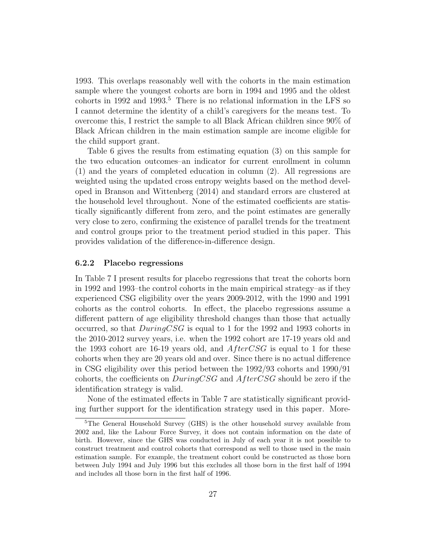1993. This overlaps reasonably well with the cohorts in the main estimation sample where the youngest cohorts are born in 1994 and 1995 and the oldest cohorts in 1992 and 1993.<sup>5</sup> There is no relational information in the LFS so I cannot determine the identity of a child's caregivers for the means test. To overcome this, I restrict the sample to all Black African children since 90% of Black African children in the main estimation sample are income eligible for the child support grant.

Table 6 gives the results from estimating equation (3) on this sample for the two education outcomes–an indicator for current enrollment in column (1) and the years of completed education in column (2). All regressions are weighted using the updated cross entropy weights based on the method developed in Branson and Wittenberg (2014) and standard errors are clustered at the household level throughout. None of the estimated coefficients are statistically significantly different from zero, and the point estimates are generally very close to zero, confirming the existence of parallel trends for the treatment and control groups prior to the treatment period studied in this paper. This provides validation of the difference-in-difference design.

#### 6.2.2 Placebo regressions

In Table 7 I present results for placebo regressions that treat the cohorts born in 1992 and 1993–the control cohorts in the main empirical strategy–as if they experienced CSG eligibility over the years 2009-2012, with the 1990 and 1991 cohorts as the control cohorts. In effect, the placebo regressions assume a different pattern of age eligibility threshold changes than those that actually occurred, so that  $DuringCSG$  is equal to 1 for the 1992 and 1993 cohorts in the 2010-2012 survey years, i.e. when the 1992 cohort are 17-19 years old and the 1993 cohort are 16-19 years old, and  $AfterCSG$  is equal to 1 for these cohorts when they are 20 years old and over. Since there is no actual difference in CSG eligibility over this period between the 1992/93 cohorts and 1990/91 cohorts, the coefficients on  $DuringCSG$  and  $AfterCSG$  should be zero if the identification strategy is valid.

None of the estimated effects in Table 7 are statistically significant providing further support for the identification strategy used in this paper. More-

<sup>5</sup>The General Household Survey (GHS) is the other household survey available from 2002 and, like the Labour Force Survey, it does not contain information on the date of birth. However, since the GHS was conducted in July of each year it is not possible to construct treatment and control cohorts that correspond as well to those used in the main estimation sample. For example, the treatment cohort could be constructed as those born between July 1994 and July 1996 but this excludes all those born in the first half of 1994 and includes all those born in the first half of 1996.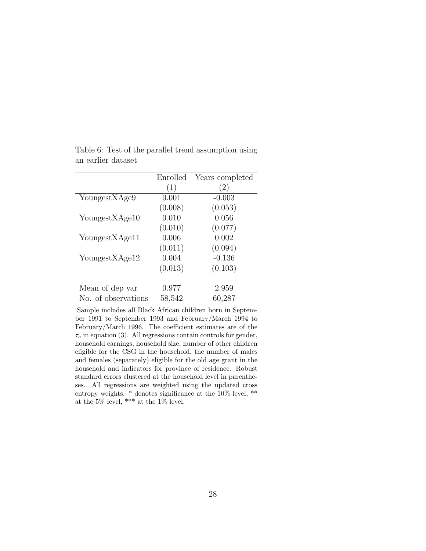|                     | Enrolled | Years completed   |
|---------------------|----------|-------------------|
|                     | (1)      | $\left( 2\right)$ |
| Youngest XAge9      | 0.001    | $-0.003$          |
|                     | (0.008)  | (0.053)           |
| Youngest XAge10     | 0.010    | 0.056             |
|                     | (0.010)  | (0.077)           |
| YoungestXAge11      | 0.006    | 0.002             |
|                     | (0.011)  | (0.094)           |
| YoungestXAge12      | 0.004    | $-0.136$          |
|                     | (0.013)  | (0.103)           |
|                     |          |                   |
| Mean of dep var     | 0.977    | 2.959             |
| No. of observations | 58,542   | 60,287            |

Table 6: Test of the parallel trend assumption using an earlier dataset

Sample includes all Black African children born in September 1991 to September 1993 and February/March 1994 to February/March 1996. The coefficient estimates are of the  $\tau_a$  in equation (3). All regressions contain controls for gender, household earnings, household size, number of other children eligible for the CSG in the household, the number of males and females (separately) eligible for the old age grant in the household and indicators for province of residence. Robust standard errors clustered at the household level in parentheses. All regressions are weighted using the updated cross entropy weights. \* denotes significance at the 10% level, \*\* at the 5% level, \*\*\* at the 1% level.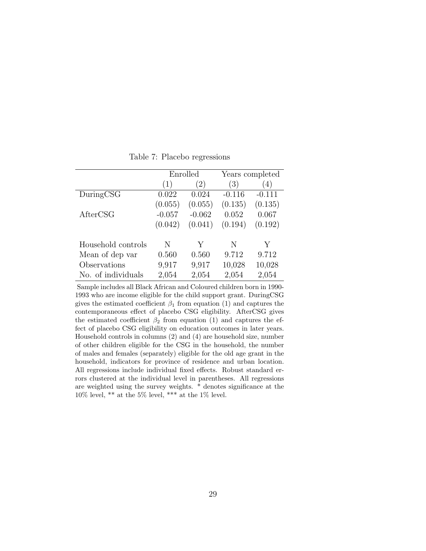|                    | Enrolled |          |          | Years completed  |
|--------------------|----------|----------|----------|------------------|
|                    | (1)      | (2)      | (3)      | $\left(4\right)$ |
| DuringCSG          | 0.022    | 0.024    | $-0.116$ | $-0.111$         |
|                    | (0.055)  | (0.055)  | (0.135)  | (0.135)          |
| AfterCSG           | $-0.057$ | $-0.062$ | 0.052    | 0.067            |
|                    | (0.042)  | (0.041)  | (0.194)  | (0.192)          |
| Household controls | N        | Y        | N        | Y                |
| Mean of dep var    | 0.560    | 0.560    | 9.712    | 9.712            |
| Observations       | 9,917    | 9,917    | 10,028   | 10,028           |
| No. of individuals | 2,054    | 2,054    | 2,054    | 2,054            |

Table 7: Placebo regressions

Sample includes all Black African and Coloured children born in 1990- 1993 who are income eligible for the child support grant. DuringCSG gives the estimated coefficient  $\beta_1$  from equation (1) and captures the contemporaneous effect of placebo CSG eligibility. AfterCSG gives the estimated coefficient  $\beta_2$  from equation (1) and captures the effect of placebo CSG eligibility on education outcomes in later years. Household controls in columns (2) and (4) are household size, number of other children eligible for the CSG in the household, the number of males and females (separately) eligible for the old age grant in the household, indicators for province of residence and urban location. All regressions include individual fixed effects. Robust standard errors clustered at the individual level in parentheses. All regressions are weighted using the survey weights. \* denotes significance at the  $10\%$  level, \*\* at the 5% level, \*\*\* at the 1% level.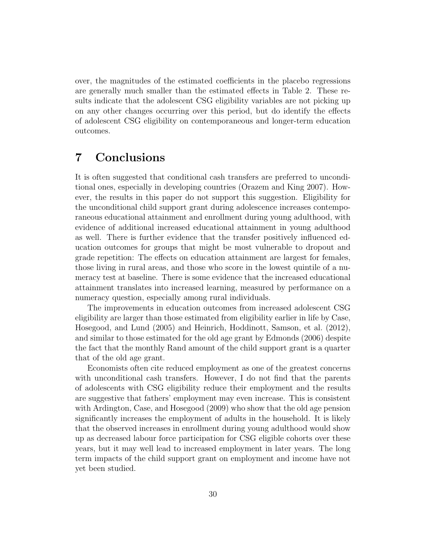over, the magnitudes of the estimated coefficients in the placebo regressions are generally much smaller than the estimated effects in Table 2. These results indicate that the adolescent CSG eligibility variables are not picking up on any other changes occurring over this period, but do identify the effects of adolescent CSG eligibility on contemporaneous and longer-term education outcomes.

# 7 Conclusions

It is often suggested that conditional cash transfers are preferred to unconditional ones, especially in developing countries (Orazem and King 2007). However, the results in this paper do not support this suggestion. Eligibility for the unconditional child support grant during adolescence increases contemporaneous educational attainment and enrollment during young adulthood, with evidence of additional increased educational attainment in young adulthood as well. There is further evidence that the transfer positively influenced education outcomes for groups that might be most vulnerable to dropout and grade repetition: The effects on education attainment are largest for females, those living in rural areas, and those who score in the lowest quintile of a numeracy test at baseline. There is some evidence that the increased educational attainment translates into increased learning, measured by performance on a numeracy question, especially among rural individuals.

The improvements in education outcomes from increased adolescent CSG eligibility are larger than those estimated from eligibility earlier in life by Case, Hosegood, and Lund (2005) and Heinrich, Hoddinott, Samson, et al. (2012), and similar to those estimated for the old age grant by Edmonds (2006) despite the fact that the monthly Rand amount of the child support grant is a quarter that of the old age grant.

Economists often cite reduced employment as one of the greatest concerns with unconditional cash transfers. However, I do not find that the parents of adolescents with CSG eligibility reduce their employment and the results are suggestive that fathers' employment may even increase. This is consistent with Ardington, Case, and Hosegood (2009) who show that the old age pension significantly increases the employment of adults in the household. It is likely that the observed increases in enrollment during young adulthood would show up as decreased labour force participation for CSG eligible cohorts over these years, but it may well lead to increased employment in later years. The long term impacts of the child support grant on employment and income have not yet been studied.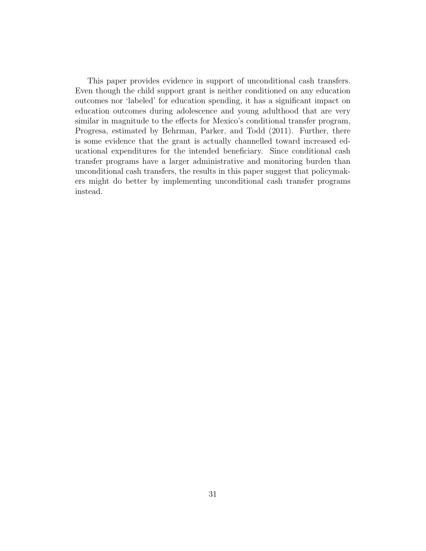This paper provides evidence in support of unconditional cash transfers. Even though the child support grant is neither conditioned on any education outcomes nor 'labeled' for education spending, it has a significant impact on education outcomes during adolescence and young adulthood that are very similar in magnitude to the effects for Mexico's conditional transfer program, Progresa, estimated by Behrman, Parker, and Todd (2011). Further, there is some evidence that the grant is actually channelled toward increased educational expenditures for the intended beneficiary. Since conditional cash transfer programs have a larger administrative and monitoring burden than unconditional cash transfers, the results in this paper suggest that policymakers might do better by implementing unconditional cash transfer programs instead.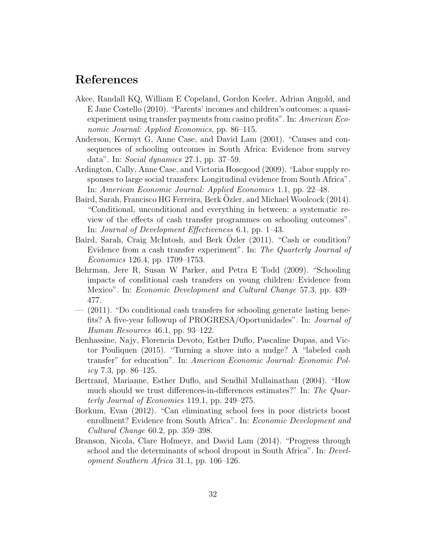### References

- Akee, Randall KQ, William E Copeland, Gordon Keeler, Adrian Angold, and E Jane Costello (2010). "Parents' incomes and children's outcomes: a quasiexperiment using transfer payments from casino profits". In: American Economic Journal: Applied Economics, pp. 86–115.
- Anderson, Kermyt G, Anne Case, and David Lam (2001). "Causes and consequences of schooling outcomes in South Africa: Evidence from survey data". In: Social dynamics 27.1, pp. 37–59.
- Ardington, Cally, Anne Case, and Victoria Hosegood (2009). "Labor supply responses to large social transfers: Longitudinal evidence from South Africa". In: American Economic Journal: Applied Economics 1.1, pp. 22–48.
- Baird, Sarah, Francisco HG Ferreira, Berk Ozler, and Michael Woolcock (2014). ¨ "Conditional, unconditional and everything in between: a systematic review of the effects of cash transfer programmes on schooling outcomes". In: Journal of Development Effectiveness 6.1, pp. 1–43.
- Baird, Sarah, Craig McIntosh, and Berk Ozler (2011). "Cash or condition? Evidence from a cash transfer experiment". In: The Quarterly Journal of Economics 126.4, pp. 1709–1753.
- Behrman, Jere R, Susan W Parker, and Petra E Todd (2009). "Schooling impacts of conditional cash transfers on young children: Evidence from Mexico". In: Economic Development and Cultural Change 57.3, pp. 439– 477.
- (2011). "Do conditional cash transfers for schooling generate lasting benefits? A five-year followup of PROGRESA/Oportunidades". In: Journal of Human Resources 46.1, pp. 93–122.
- Benhassine, Najy, Florencia Devoto, Esther Duflo, Pascaline Dupas, and Victor Pouliquen (2015). "Turning a shove into a nudge? A "labeled cash transfer" for education". In: American Economic Journal: Economic Pol $icy 7.3, pp. 86-125.$
- Bertrand, Marianne, Esther Duflo, and Sendhil Mullainathan (2004). "How much should we trust differences-in-differences estimates?" In: The Quarterly Journal of Economics 119.1, pp. 249–275.
- Borkum, Evan (2012). "Can eliminating school fees in poor districts boost enrollment? Evidence from South Africa". In: Economic Development and Cultural Change 60.2, pp. 359–398.
- Branson, Nicola, Clare Hofmeyr, and David Lam (2014). "Progress through school and the determinants of school dropout in South Africa". In: Development Southern Africa 31.1, pp. 106–126.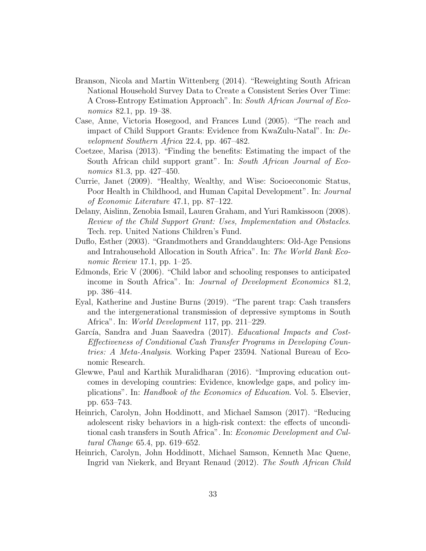- Branson, Nicola and Martin Wittenberg (2014). "Reweighting South African National Household Survey Data to Create a Consistent Series Over Time: A Cross-Entropy Estimation Approach". In: South African Journal of Economics 82.1, pp. 19–38.
- Case, Anne, Victoria Hosegood, and Frances Lund (2005). "The reach and impact of Child Support Grants: Evidence from KwaZulu-Natal". In: Development Southern Africa 22.4, pp. 467–482.
- Coetzee, Marisa (2013). "Finding the benefits: Estimating the impact of the South African child support grant". In: South African Journal of Economics 81.3, pp. 427–450.
- Currie, Janet (2009). "Healthy, Wealthy, and Wise: Socioeconomic Status, Poor Health in Childhood, and Human Capital Development". In: Journal of Economic Literature 47.1, pp. 87–122.
- Delany, Aislinn, Zenobia Ismail, Lauren Graham, and Yuri Ramkissoon (2008). Review of the Child Support Grant: Uses, Implementation and Obstacles. Tech. rep. United Nations Children's Fund.
- Duflo, Esther (2003). "Grandmothers and Granddaughters: Old-Age Pensions and Intrahousehold Allocation in South Africa". In: The World Bank Economic Review 17.1, pp. 1–25.
- Edmonds, Eric V (2006). "Child labor and schooling responses to anticipated income in South Africa". In: Journal of Development Economics 81.2, pp. 386–414.
- Eyal, Katherine and Justine Burns (2019). "The parent trap: Cash transfers and the intergenerational transmission of depressive symptoms in South Africa". In: World Development 117, pp. 211–229.
- García, Sandra and Juan Saavedra (2017). Educational Impacts and Cost-Effectiveness of Conditional Cash Transfer Programs in Developing Countries: A Meta-Analysis. Working Paper 23594. National Bureau of Economic Research.
- Glewwe, Paul and Karthik Muralidharan (2016). "Improving education outcomes in developing countries: Evidence, knowledge gaps, and policy implications". In: Handbook of the Economics of Education. Vol. 5. Elsevier, pp. 653–743.
- Heinrich, Carolyn, John Hoddinott, and Michael Samson (2017). "Reducing adolescent risky behaviors in a high-risk context: the effects of unconditional cash transfers in South Africa". In: Economic Development and Cultural Change 65.4, pp. 619–652.
- Heinrich, Carolyn, John Hoddinott, Michael Samson, Kenneth Mac Quene, Ingrid van Niekerk, and Bryant Renaud (2012). The South African Child